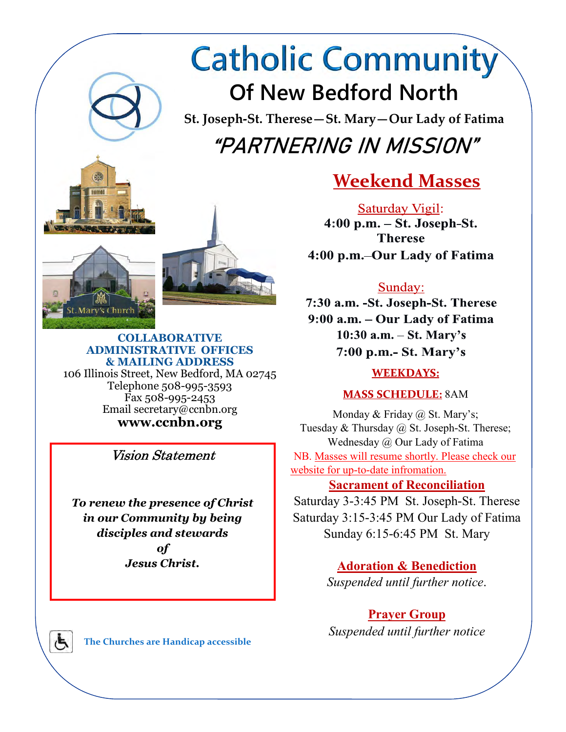# **Catholic Community Of New Bedford North**

**St. Joseph-St. Therese—St. Mary—Our Lady of Fatima "PARTNERING IN MISSION"** 



Saturday Vigil:  $4:00$  p.m.  $-$  St. Joseph-St. **Therese** 4:00 p.m. - Our Lady of Fatima

# Sunday:

7:30 a.m. - St. Joseph-St. Therese 9:00 a.m. - Our Lady of Fatima  $10:30$  a.m.  $-$  St. Mary's  $7:00$  p.m.- St. Mary's

## **WEEKDAYS:**

**MASS SCHEDULE: 8AM** 

Monday & Friday @ St. Mary's; Tuesday & Thursday @ St. Joseph-St. Therese; Wednesday @ Our Lady of Fatima NB. Masses will resume shortly. Please check our website for up-to-date infromation.

## **Sacrament of Reconciliation**

Saturday 3-3:45 PM St. Joseph-St. Therese Saturday 3:15-3:45 PM Our Lady of Fatima Sunday 6:15-6:45 PM St. Mary

> **Adoration & Benediction**  *Suspended until further notice*.

# **Prayer Group**

*Suspended until further notice*





**COLLABORATIVE ADMINISTRATIVE OFFICES & MAILING ADDRESS**  106 Illinois Street, New Bedford, MA 02745 Telephone 508-995-3593 Fax 508-995-2453 Email secretary@ccnbn.org **www.ccnbn.org** 

Vision Statement

*To renew the presence of Christ in our Community by being disciples and stewards of Jesus Christ.* 

Ġ

**The Churches are Handicap accessible**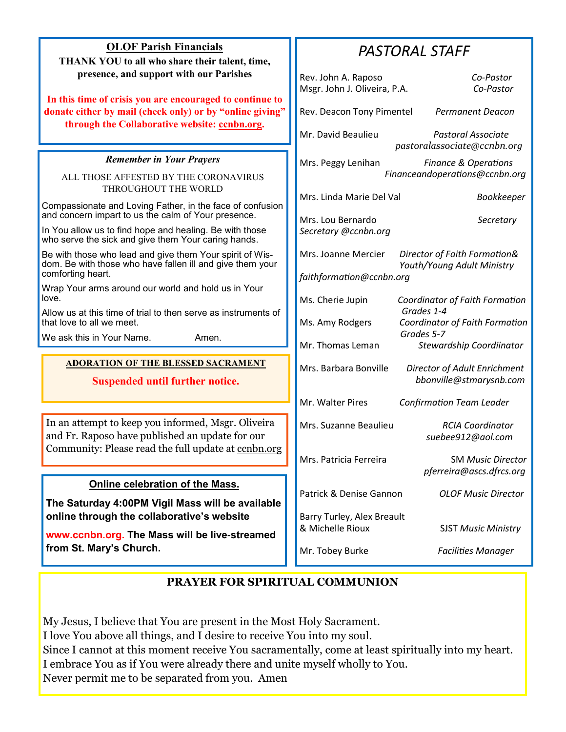| <b>OLOF Parish Financials</b><br>THANK YOU to all who share their talent, time,                                                                                       | <b>PASTORAL STAFF</b>                                                                                         |
|-----------------------------------------------------------------------------------------------------------------------------------------------------------------------|---------------------------------------------------------------------------------------------------------------|
| presence, and support with our Parishes                                                                                                                               | Rev. John A. Raposo<br>Co-Pastor<br>Msgr. John J. Oliveira, P.A.<br>Co-Pastor                                 |
| In this time of crisis you are encouraged to continue to<br>donate either by mail (check only) or by "online giving"<br>through the Collaborative website: conbn.org. | Rev. Deacon Tony Pimentel<br><b>Permanent Deacon</b>                                                          |
|                                                                                                                                                                       | Mr. David Beaulieu<br>Pastoral Associate<br>pastoralassociate@ccnbn.org                                       |
| <b>Remember in Your Prayers</b>                                                                                                                                       | Mrs. Peggy Lenihan<br><b>Finance &amp; Operations</b>                                                         |
| ALL THOSE AFFESTED BY THE CORONAVIRUS<br>THROUGHOUT THE WORLD                                                                                                         | Financeandoperations@ccnbn.org                                                                                |
| Compassionate and Loving Father, in the face of confusion                                                                                                             | Mrs. Linda Marie Del Val<br><b>Bookkeeper</b>                                                                 |
| and concern impart to us the calm of Your presence.<br>In You allow us to find hope and healing. Be with those<br>who serve the sick and give them Your caring hands. | Mrs. Lou Bernardo<br>Secretary<br>Secretary @ccnbn.org                                                        |
| Be with those who lead and give them Your spirit of Wis-<br>dom. Be with those who have fallen ill and give them your<br>comforting heart.                            | Mrs. Joanne Mercier<br>Director of Faith Formation&<br>Youth/Young Adult Ministry<br>faithformation@ccnbn.org |
| Wrap Your arms around our world and hold us in Your<br>love.                                                                                                          | Ms. Cherie Jupin<br>Coordinator of Faith Formation                                                            |
| Allow us at this time of trial to then serve as instruments of<br>that love to all we meet.                                                                           | Grades 1-4<br>Ms. Amy Rodgers<br>Coordinator of Faith Formation                                               |
| We ask this in Your Name.<br>Amen.                                                                                                                                    | Grades 5-7<br>Mr. Thomas Leman<br>Stewardship Coordiinator                                                    |
| <b>ADORATION OF THE BLESSED SACRAMENT</b><br><b>Suspended until further notice.</b>                                                                                   | Mrs. Barbara Bonville<br>Director of Adult Enrichment<br>bbonville@stmarysnb.com                              |
|                                                                                                                                                                       | Mr. Walter Pires<br><b>Confirmation Team Leader</b>                                                           |
| In an attempt to keep you informed, Msgr. Oliveira<br>and Fr. Raposo have published an update for our<br>Community: Please read the full update at conbn.org          | Mrs. Suzanne Beaulieu<br><b>RCIA Coordinator</b><br>suebee912@aol.com                                         |
|                                                                                                                                                                       | Mrs. Patricia Ferreira<br><b>SM Music Director</b><br>pferreira@ascs.dfrcs.org                                |
| Online celebration of the Mass.<br>The Saturday 4:00PM Vigil Mass will be available                                                                                   | Patrick & Denise Gannon<br><b>OLOF Music Director</b>                                                         |
| online through the collaborative's website<br>www.ccnbn.org. The Mass will be live-streamed                                                                           | Barry Turley, Alex Breault<br>& Michelle Rioux<br><b>SJST Music Ministry</b>                                  |
| from St. Mary's Church.                                                                                                                                               | Mr. Tobey Burke<br><b>Facilities Manager</b>                                                                  |

## **PRAYER FOR SPIRITUAL COMMUNION**

My Jesus, I believe that You are present in the Most Holy Sacrament. I love You above all things, and I desire to receive You into my soul. Since I cannot at this moment receive You sacramentally, come at least spiritually into my heart. I embrace You as if You were already there and unite myself wholly to You. Never permit me to be separated from you. Amen